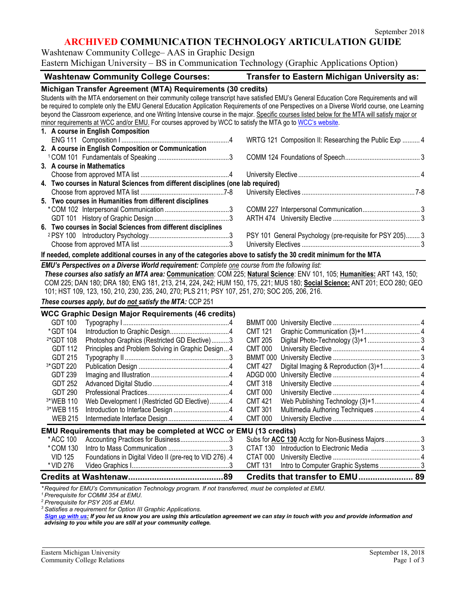# **ARCHIVED COMMUNICATION TECHNOLOGY ARTICULATION GUIDE**

Washtenaw Community College– AAS in Graphic Design

Eastern Michigan University – BS in Communication Technology (Graphic Applications Option)

| <b>Washtenaw Community College Courses:</b>                                                                                                                                                                                                                                                                                                                                                                                                                                                                                                                                                                             | <b>Transfer to Eastern Michigan University as:</b>       |  |  |  |
|-------------------------------------------------------------------------------------------------------------------------------------------------------------------------------------------------------------------------------------------------------------------------------------------------------------------------------------------------------------------------------------------------------------------------------------------------------------------------------------------------------------------------------------------------------------------------------------------------------------------------|----------------------------------------------------------|--|--|--|
| Michigan Transfer Agreement (MTA) Requirements (30 credits)<br>Students with the MTA endorsement on their community college transcript have satisfied EMU's General Education Core Requirements and will<br>be required to complete only the EMU General Education Application Requirements of one Perspectives on a Diverse World course, one Learning<br>beyond the Classroom experience, and one Writing Intensive course in the major. Specific courses listed below for the MTA will satisfy major or<br>minor requirements at WCC and/or EMU. For courses approved by WCC to satisfy the MTA go to WCC's website. |                                                          |  |  |  |
| 1. A course in English Composition                                                                                                                                                                                                                                                                                                                                                                                                                                                                                                                                                                                      |                                                          |  |  |  |
|                                                                                                                                                                                                                                                                                                                                                                                                                                                                                                                                                                                                                         | WRTG 121 Composition II: Researching the Public Exp  4   |  |  |  |
| 2. A course in English Composition or Communication                                                                                                                                                                                                                                                                                                                                                                                                                                                                                                                                                                     |                                                          |  |  |  |
|                                                                                                                                                                                                                                                                                                                                                                                                                                                                                                                                                                                                                         |                                                          |  |  |  |
| 3. A course in Mathematics                                                                                                                                                                                                                                                                                                                                                                                                                                                                                                                                                                                              |                                                          |  |  |  |
|                                                                                                                                                                                                                                                                                                                                                                                                                                                                                                                                                                                                                         |                                                          |  |  |  |
| 4. Two courses in Natural Sciences from different disciplines (one lab required)                                                                                                                                                                                                                                                                                                                                                                                                                                                                                                                                        |                                                          |  |  |  |
|                                                                                                                                                                                                                                                                                                                                                                                                                                                                                                                                                                                                                         |                                                          |  |  |  |
| 5. Two courses in Humanities from different disciplines                                                                                                                                                                                                                                                                                                                                                                                                                                                                                                                                                                 |                                                          |  |  |  |
|                                                                                                                                                                                                                                                                                                                                                                                                                                                                                                                                                                                                                         |                                                          |  |  |  |
|                                                                                                                                                                                                                                                                                                                                                                                                                                                                                                                                                                                                                         |                                                          |  |  |  |
| 6. Two courses in Social Sciences from different disciplines                                                                                                                                                                                                                                                                                                                                                                                                                                                                                                                                                            |                                                          |  |  |  |
|                                                                                                                                                                                                                                                                                                                                                                                                                                                                                                                                                                                                                         | PSY 101 General Psychology (pre-requisite for PSY 205) 3 |  |  |  |
|                                                                                                                                                                                                                                                                                                                                                                                                                                                                                                                                                                                                                         |                                                          |  |  |  |
| If needed, complete additional courses in any of the categories above to satisfy the 30 credit minimum for the MTA                                                                                                                                                                                                                                                                                                                                                                                                                                                                                                      |                                                          |  |  |  |
| EMU's Perspectives on a Diverse World requirement: Complete one course from the following list:                                                                                                                                                                                                                                                                                                                                                                                                                                                                                                                         |                                                          |  |  |  |
| These courses also satisfy an MTA area: Communication: COM 225; Natural Science: ENV 101, 105; Humanities: ART 143, 150;<br>COM 225; DAN 180; DRA 180; ENG 181, 213, 214, 224, 242; HUM 150, 175, 221; MUS 180; Social Science: ANT 201; ECO 280; GEO<br>101; HST 109, 123, 150, 210, 230, 235, 240, 270; PLS 211; PSY 107, 251, 270; SOC 205, 206, 216.<br>These courses apply, but do not satisfy the MTA: CCP 251                                                                                                                                                                                                    |                                                          |  |  |  |
|                                                                                                                                                                                                                                                                                                                                                                                                                                                                                                                                                                                                                         |                                                          |  |  |  |
| <b>WCC Graphic Design Major Requirements (46 credits)</b><br><b>GDT 100</b>                                                                                                                                                                                                                                                                                                                                                                                                                                                                                                                                             |                                                          |  |  |  |
| *GDT 104                                                                                                                                                                                                                                                                                                                                                                                                                                                                                                                                                                                                                |                                                          |  |  |  |
|                                                                                                                                                                                                                                                                                                                                                                                                                                                                                                                                                                                                                         | <b>CMT 121</b><br><b>CMT 205</b>                         |  |  |  |
| <sup>2*</sup> GDT 108<br>Photoshop Graphics (Restricted GD Elective)3<br><b>GDT 112</b>                                                                                                                                                                                                                                                                                                                                                                                                                                                                                                                                 |                                                          |  |  |  |
| Principles and Problem Solving in Graphic Design4                                                                                                                                                                                                                                                                                                                                                                                                                                                                                                                                                                       | <b>CMT 000</b>                                           |  |  |  |
| <b>GDT 215</b><br>3*GDT 220                                                                                                                                                                                                                                                                                                                                                                                                                                                                                                                                                                                             | <b>CMT 427</b>                                           |  |  |  |
|                                                                                                                                                                                                                                                                                                                                                                                                                                                                                                                                                                                                                         | Digital Imaging & Reproduction (3)+1 4<br>ADGD 000       |  |  |  |
| <b>GDT 239</b>                                                                                                                                                                                                                                                                                                                                                                                                                                                                                                                                                                                                          | <b>CMT 318</b>                                           |  |  |  |
| <b>GDT 252</b>                                                                                                                                                                                                                                                                                                                                                                                                                                                                                                                                                                                                          | <b>CMT 000</b>                                           |  |  |  |
| <b>GDT 290</b>                                                                                                                                                                                                                                                                                                                                                                                                                                                                                                                                                                                                          |                                                          |  |  |  |
| Web Development I (Restricted GD Elective)4<br>3*WEB 110                                                                                                                                                                                                                                                                                                                                                                                                                                                                                                                                                                | <b>CMT 421</b>                                           |  |  |  |
| 3*WEB 115                                                                                                                                                                                                                                                                                                                                                                                                                                                                                                                                                                                                               | <b>CMT 301</b><br>Multimedia Authoring Techniques  4     |  |  |  |
| <b>WEB 215</b>                                                                                                                                                                                                                                                                                                                                                                                                                                                                                                                                                                                                          | <b>CMT 000</b>                                           |  |  |  |
| EMU Requirements that may be completed at WCC or EMU (13 credits)                                                                                                                                                                                                                                                                                                                                                                                                                                                                                                                                                       |                                                          |  |  |  |
| * ACC 100<br>Accounting Practices for Business3                                                                                                                                                                                                                                                                                                                                                                                                                                                                                                                                                                         |                                                          |  |  |  |
| *COM 130                                                                                                                                                                                                                                                                                                                                                                                                                                                                                                                                                                                                                |                                                          |  |  |  |
| Foundations in Digital Video II (pre-req to VID 276) .4<br><b>VID 125</b>                                                                                                                                                                                                                                                                                                                                                                                                                                                                                                                                               | CTAT 000                                                 |  |  |  |
| * VID 276                                                                                                                                                                                                                                                                                                                                                                                                                                                                                                                                                                                                               | <b>CMT 131</b>                                           |  |  |  |
|                                                                                                                                                                                                                                                                                                                                                                                                                                                                                                                                                                                                                         | Credits that transfer to EMU 89                          |  |  |  |

*\* Required for EMU's Communication Technology program. If not transferred, must be completed at EMU.*

*1 Prerequisite for COMM 354 at EMU.*

*<sup>2</sup> Prerequisite for PSY 205 at EMU.*

*<sup>3</sup> Satisfies a requirement for Option III Graphic Applications.*

*[Sign up with us:](https://www.emich.edu/ccr/articulation-agreements/signup.php) If you let us know you are using this articulation agreement we can stay in touch with you and provide information and advising to you while you are still at your community college.*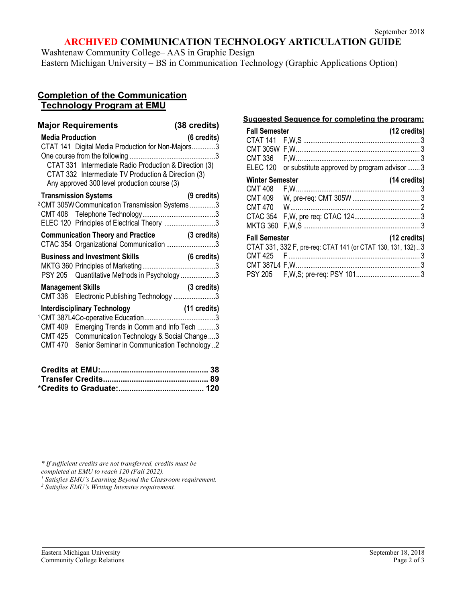# **ARCHIVED COMMUNICATION TECHNOLOGY ARTICULATION GUIDE**

Washtenaw Community College– AAS in Graphic Design Eastern Michigan University – BS in Communication Technology (Graphic Applications Option)

## **Completion of the Communication Technology Program at EMU**

| <b>Major Requirements</b><br><b>Media Production</b><br>CTAT 141 Digital Media Production for Non-Majors3<br>CTAT 331 Intermediate Radio Production & Direction (3)<br>CTAT 332 Intermediate TV Production & Direction (3)<br>Any approved 300 level production course (3) | (38 credits)<br>(6 credits) |
|----------------------------------------------------------------------------------------------------------------------------------------------------------------------------------------------------------------------------------------------------------------------------|-----------------------------|
| <b>Transmission Systems</b><br><sup>2</sup> CMT 305W Communication Transmission Systems 3<br>ELEC 120 Principles of Electrical Theory 3                                                                                                                                    | (9 credits)                 |
| Communication Theory and Practice (3 credits)<br>CTAC 354 Organizational Communication 3                                                                                                                                                                                   |                             |
| PSY 205 Quantitative Methods in Psychology 3                                                                                                                                                                                                                               |                             |
| <b>Management Skills</b><br>CMT 336 Electronic Publishing Technology 3                                                                                                                                                                                                     | (3 credits)                 |
| <b>Interdisciplinary Technology</b><br>CMT 409 Emerging Trends in Comm and Info Tech 3<br>CMT 425 Communication Technology & Social Change 3<br>CMT 470 Senior Seminar in Communication Technology2                                                                        | $(11 \text{ credits})$      |

#### **Suggested Sequence for completing the program:**

| <b>Fall Semester</b>   |                                                             | (12 credits)           |
|------------------------|-------------------------------------------------------------|------------------------|
|                        |                                                             |                        |
|                        |                                                             |                        |
| CMT 336                |                                                             |                        |
| <b>ELEC 120</b>        | or substitute approved by program advisor  3                |                        |
| <b>Winter Semester</b> |                                                             | (14 credits)           |
| CMT 408                |                                                             |                        |
| CMT 409                |                                                             |                        |
|                        |                                                             |                        |
|                        |                                                             |                        |
| <b>MKTG 360</b>        |                                                             |                        |
| <b>Fall Semester</b>   |                                                             | $(12 \text{ credits})$ |
|                        | CTAT 331, 332 F, pre-req: CTAT 141 (or CTAT 130, 131, 132)3 |                        |
|                        |                                                             |                        |
|                        |                                                             |                        |
|                        |                                                             |                        |

*\* If sufficient credits are not transferred, credits must be* 

<sup>1</sup> Satisfies EMU's Learning Beyond the Classroom requirement.

*<sup>2</sup> Satisfies EMU's Writing Intensive requirement.*